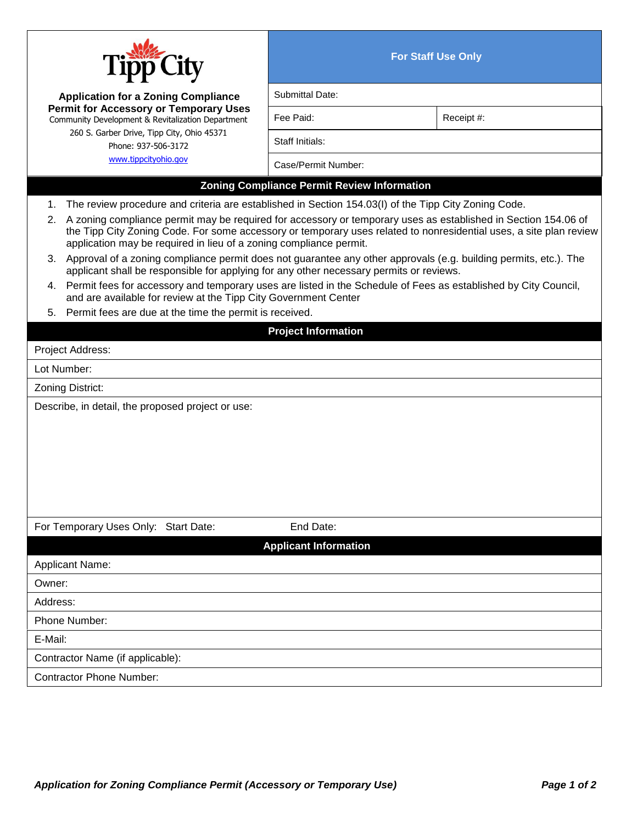

**For Staff Use Only**

| $\mathbf{H}$                                                                                                                                                                                                                                                                                                  |                              |            |  |  |
|---------------------------------------------------------------------------------------------------------------------------------------------------------------------------------------------------------------------------------------------------------------------------------------------------------------|------------------------------|------------|--|--|
| <b>Application for a Zoning Compliance</b><br><b>Permit for Accessory or Temporary Uses</b><br>Community Development & Revitalization Department<br>260 S. Garber Drive, Tipp City, Ohio 45371<br>Phone: 937-506-3172<br>www.tippcityohio.gov                                                                 | Submittal Date:              |            |  |  |
|                                                                                                                                                                                                                                                                                                               | Fee Paid:                    | Receipt #: |  |  |
|                                                                                                                                                                                                                                                                                                               | Staff Initials:              |            |  |  |
|                                                                                                                                                                                                                                                                                                               | Case/Permit Number:          |            |  |  |
| <b>Zoning Compliance Permit Review Information</b>                                                                                                                                                                                                                                                            |                              |            |  |  |
| The review procedure and criteria are established in Section 154.03(I) of the Tipp City Zoning Code.<br>1.                                                                                                                                                                                                    |                              |            |  |  |
| 2. A zoning compliance permit may be required for accessory or temporary uses as established in Section 154.06 of<br>the Tipp City Zoning Code. For some accessory or temporary uses related to nonresidential uses, a site plan review<br>application may be required in lieu of a zoning compliance permit. |                              |            |  |  |
| 3. Approval of a zoning compliance permit does not guarantee any other approvals (e.g. building permits, etc.). The<br>applicant shall be responsible for applying for any other necessary permits or reviews.                                                                                                |                              |            |  |  |
| 4. Permit fees for accessory and temporary uses are listed in the Schedule of Fees as established by City Council,<br>and are available for review at the Tipp City Government Center                                                                                                                         |                              |            |  |  |
| Permit fees are due at the time the permit is received.<br>5.                                                                                                                                                                                                                                                 |                              |            |  |  |
|                                                                                                                                                                                                                                                                                                               | <b>Project Information</b>   |            |  |  |
| Project Address:                                                                                                                                                                                                                                                                                              |                              |            |  |  |
| Lot Number:                                                                                                                                                                                                                                                                                                   |                              |            |  |  |
| Zoning District:                                                                                                                                                                                                                                                                                              |                              |            |  |  |
| Describe, in detail, the proposed project or use:                                                                                                                                                                                                                                                             |                              |            |  |  |
| For Temporary Uses Only: Start Date:                                                                                                                                                                                                                                                                          | End Date:                    |            |  |  |
|                                                                                                                                                                                                                                                                                                               | <b>Applicant Information</b> |            |  |  |
| <b>Applicant Name:</b>                                                                                                                                                                                                                                                                                        |                              |            |  |  |
| Owner:                                                                                                                                                                                                                                                                                                        |                              |            |  |  |
| Address:                                                                                                                                                                                                                                                                                                      |                              |            |  |  |
| Phone Number:                                                                                                                                                                                                                                                                                                 |                              |            |  |  |
| E-Mail:                                                                                                                                                                                                                                                                                                       |                              |            |  |  |
| Contractor Name (if applicable):                                                                                                                                                                                                                                                                              |                              |            |  |  |
| <b>Contractor Phone Number:</b>                                                                                                                                                                                                                                                                               |                              |            |  |  |
|                                                                                                                                                                                                                                                                                                               |                              |            |  |  |